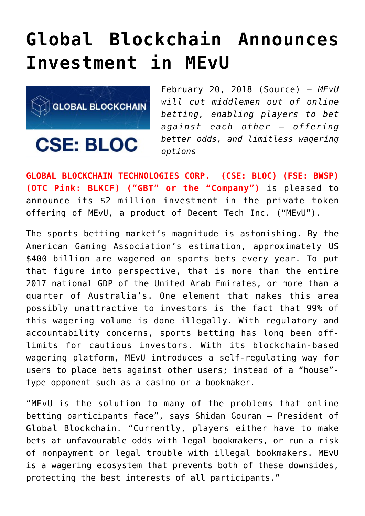## **[Global Blockchain Announces](https://investorintel.com/markets/technology/technology-news/global-blockchain-announces-investment-mevu/) [Investment in MEvU](https://investorintel.com/markets/technology/technology-news/global-blockchain-announces-investment-mevu/)**



February 20, 2018 ([Source\)](https://investorintel.com/iintel-members/global-blockchain-technologies-corp/) — *MEvU will cut middlemen out of online betting, enabling players to bet against each other – offering better odds, and limitless wagering options*

**GLOBAL BLOCKCHAIN TECHNOLOGIES CORP. (CSE: BLOC) (FSE: BWSP) (OTC Pink: BLKCF) ("GBT" or the "Company")** is pleased to announce its \$2 million investment in the private token offering of MEvU, a product of Decent Tech Inc. ("MEvU").

The sports betting market's magnitude is astonishing. By the American Gaming Association's estimation, approximately US \$400 billion are wagered on sports bets every year. To put that figure into perspective, that is more than the entire 2017 national GDP of the United Arab Emirates, or more than a quarter of Australia's. One element that makes this area possibly unattractive to investors is the fact that 99% of this wagering volume is done illegally. With regulatory and accountability concerns, sports betting has long been offlimits for cautious investors. With its blockchain-based wagering platform, MEvU introduces a self-regulating way for users to place bets against other users; instead of a "house" type opponent such as a casino or a bookmaker.

"MEvU is the solution to many of the problems that online betting participants face", says Shidan Gouran – President of Global Blockchain. "Currently, players either have to make bets at unfavourable odds with legal bookmakers, or run a risk of nonpayment or legal trouble with illegal bookmakers. MEvU is a wagering ecosystem that prevents both of these downsides, protecting the best interests of all participants."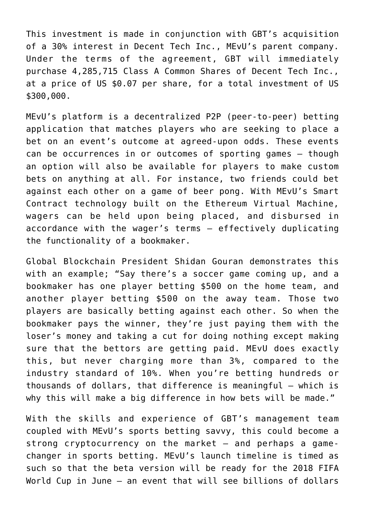This investment is made in conjunction with GBT's acquisition of a 30% interest in Decent Tech Inc., MEvU's parent company. Under the terms of the agreement, GBT will immediately purchase 4,285,715 Class A Common Shares of Decent Tech Inc., at a price of US \$0.07 per share, for a total investment of US \$300,000.

MEvU's platform is a decentralized P2P (peer-to-peer) betting application that matches players who are seeking to place a bet on an event's outcome at agreed-upon odds. These events can be occurrences in or outcomes of sporting games – though an option will also be available for players to make custom bets on anything at all. For instance, two friends could bet against each other on a game of beer pong. With MEvU's Smart Contract technology built on the Ethereum Virtual Machine, wagers can be held upon being placed, and disbursed in accordance with the wager's terms – effectively duplicating the functionality of a bookmaker.

Global Blockchain President Shidan Gouran demonstrates this with an example; "Say there's a soccer game coming up, and a bookmaker has one player betting \$500 on the home team, and another player betting \$500 on the away team. Those two players are basically betting against each other. So when the bookmaker pays the winner, they're just paying them with the loser's money and taking a cut for doing nothing except making sure that the bettors are getting paid. MEvU does exactly this, but never charging more than 3%, compared to the industry standard of 10%. When you're betting hundreds or thousands of dollars, that difference is meaningful – which is why this will make a big difference in how bets will be made."

With the skills and experience of GBT's management team coupled with MEvU's sports betting savvy, this could become a strong cryptocurrency on the market – and perhaps a gamechanger in sports betting. MEvU's launch timeline is timed as such so that the beta version will be ready for the 2018 FIFA World Cup in June – an event that will see billions of dollars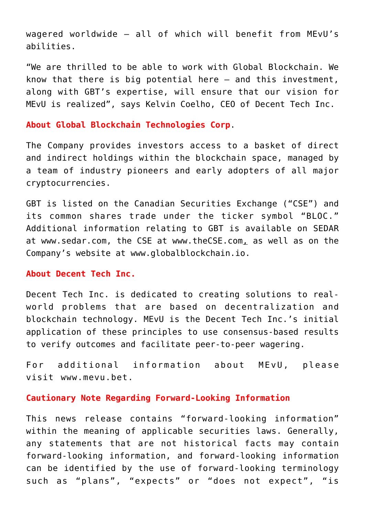wagered worldwide – all of which will benefit from MEvU's abilities.

"We are thrilled to be able to work with Global Blockchain. We know that there is big potential here – and this investment, along with GBT's expertise, will ensure that our vision for MEvU is realized", says Kelvin Coelho, CEO of Decent Tech Inc.

## **About Global Blockchain Technologies Corp**.

The Company provides investors access to a basket of direct and indirect holdings within the blockchain space, managed by a team of industry pioneers and early adopters of all major cryptocurrencies.

GBT is listed on the Canadian Securities Exchange ("CSE") and its common shares trade under the ticker symbol "BLOC." Additional information relating to GBT is available on SEDAR at [www.sedar.com,](http://www.sedar.com/) the CSE at [www.theCSE.com](http://www.thecse.com/), as well as on the Company's website at [www.globalblockchain.io](http://www.globalblockchain.io/).

## **About Decent Tech Inc.**

Decent Tech Inc. is dedicated to creating solutions to realworld problems that are based on decentralization and blockchain technology. MEvU is the Decent Tech Inc.'s initial application of these principles to use consensus-based results to verify outcomes and facilitate peer-to-peer wagering.

For additional information about MEvU, please visit [www.mevu.bet.](http://www.mevu.bet/)

## **Cautionary Note Regarding Forward-Looking Information**

This news release contains "forward-looking information" within the meaning of applicable securities laws. Generally, any statements that are not historical facts may contain forward-looking information, and forward-looking information can be identified by the use of forward-looking terminology such as "plans", "expects" or "does not expect", "is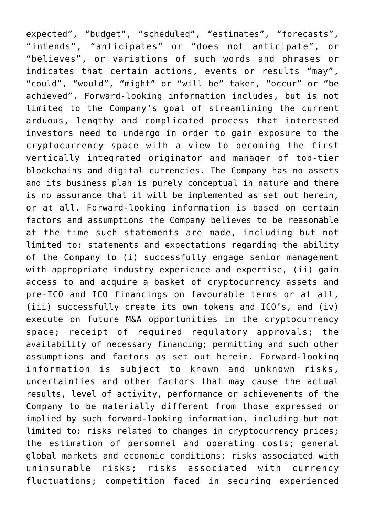expected", "budget", "scheduled", "estimates", "forecasts", "intends", "anticipates" or "does not anticipate", or "believes", or variations of such words and phrases or indicates that certain actions, events or results "may", "could", "would", "might" or "will be" taken, "occur" or "be achieved". Forward-looking information includes, but is not limited to the Company's goal of streamlining the current arduous, lengthy and complicated process that interested investors need to undergo in order to gain exposure to the cryptocurrency space with a view to becoming the first vertically integrated originator and manager of top-tier blockchains and digital currencies. The Company has no assets and its business plan is purely conceptual in nature and there is no assurance that it will be implemented as set out herein, or at all. Forward-looking information is based on certain factors and assumptions the Company believes to be reasonable at the time such statements are made, including but not limited to: statements and expectations regarding the ability of the Company to (i) successfully engage senior management with appropriate industry experience and expertise, (ii) gain access to and acquire a basket of cryptocurrency assets and pre-ICO and ICO financings on favourable terms or at all, (iii) successfully create its own tokens and ICO's, and (iv) execute on future M&A opportunities in the cryptocurrency space; receipt of required regulatory approvals; the availability of necessary financing; permitting and such other assumptions and factors as set out herein. Forward-looking information is subject to known and unknown risks, uncertainties and other factors that may cause the actual results, level of activity, performance or achievements of the Company to be materially different from those expressed or implied by such forward-looking information, including but not limited to: risks related to changes in cryptocurrency prices; the estimation of personnel and operating costs; general global markets and economic conditions; risks associated with uninsurable risks; risks associated with currency fluctuations; competition faced in securing experienced